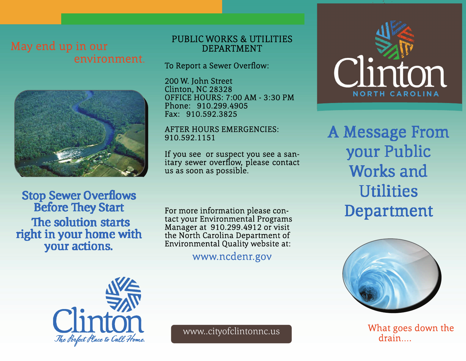

**Stop Sewer Overflows Before They Start** The solution starts right in your home with your actions.

## PUBLIC WORKS & UTILITIES DEPARTMENT

To Report a Sewer Overflow:

200 W. John Street Clinton, NC 28328 OFFICE HOURS: 7:00 AM - 3:30 PM Phone: 910.299.4905 Fax: 910.592.3825

### AFTER HOURS EMERGENCIES: 910.592.1151

If you see or suspect you see a sanitary sewer overflow, please contact us as soon as possible.

For more information please contact your Environmental Programs Manager at 910.299.4912 or visit the North Carolina Department of Environmental Quality website at:

# www.ncdenr.gov



A Message From your Public Works and **Utilities** Department



www..cityofclintonnc.us What goes down the drain...